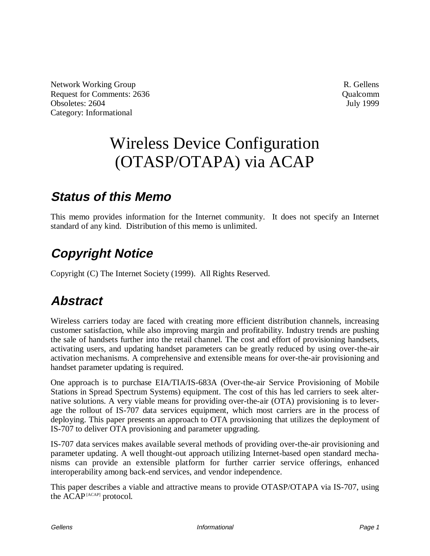Network Working Group **R.** Gellens Request for Comments: 2636 Qualcomm Obsoletes: 2604 July 1999 Category: Informational

# Wireless Device Configuration (OTASP/OTAPA) via ACAP

### **Status of this Memo**

This memo provides information for the Internet community. It does not specify an Internet standard of any kind. Distribution of this memo is unlimited.

# **Copyright Notice**

Copyright (C) The Internet Society (1999). All Rights Reserved.

# **Abstract**

Wireless carriers today are faced with creating more efficient distribution channels, increasing customer satisfaction, while also improving margin and profitability. Industry trends are pushing the sale of handsets further into the retail channel. The cost and effort of provisioning handsets, activating users, and updating handset parameters can be greatly reduced by using over-the-air activation mechanisms. A comprehensive and extensible means for over-the-air provisioning and handset parameter updating is required.

One approach is to purchase EIA/TIA/IS-683A (Over-the-air Service Provisioning of Mobile Stations in Spread Spectrum Systems) equipment. The cost of this has led carriers to seek alternative solutions. A very viable means for providing over-the-air (OTA) provisioning is to leverage the rollout of IS-707 data services equipment, which most carriers are in the process of deploying. This paper presents an approach to OTA provisioning that utilizes the deployment of IS-707 to deliver OTA provisioning and parameter upgrading.

IS-707 data services makes available several methods of providing over-the-air provisioning and parameter updating. A well thought-out approach utilizing Internet-based open standard mechanisms can provide an extensible platform for further carrier service offerings, enhanced interoperability among back-end services, and vendor independence.

This paper describes a viable and attractive means to provide OTASP/OTAPA via IS-707, using the ACAP<sup>[ACAP]</sup> protocol.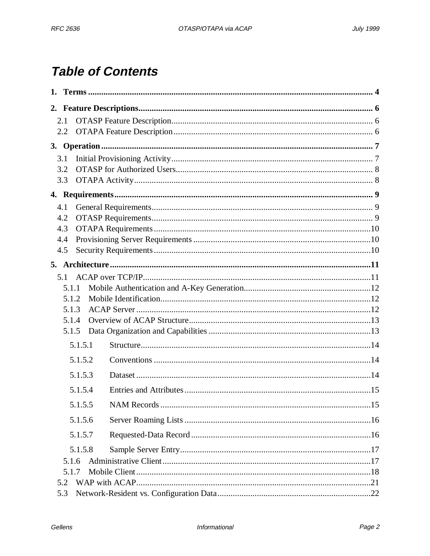# **Table of Contents**

| 1. |                |         |  |
|----|----------------|---------|--|
|    |                |         |  |
|    | 2.1            |         |  |
|    | 2.2            |         |  |
|    |                |         |  |
|    | 3.1            |         |  |
|    | 3.2            |         |  |
|    | 3.3            |         |  |
|    |                |         |  |
|    | 4.1            |         |  |
|    | 4.2            |         |  |
|    | 4.3            |         |  |
|    | 4.4            |         |  |
|    | 4.5            |         |  |
|    |                |         |  |
|    | 5.1            |         |  |
|    | 5.1.1          |         |  |
|    | 5.1.2          |         |  |
|    | 5.1.3<br>5.1.4 |         |  |
|    | 5.1.5          |         |  |
|    |                |         |  |
|    |                | 5.1.5.1 |  |
|    |                | 5.1.5.2 |  |
|    |                | 5.1.5.3 |  |
|    |                | 5.1.5.4 |  |
|    |                | 5.1.5.5 |  |
|    |                | 5.1.5.6 |  |
|    |                | 5.1.5.7 |  |
|    |                | 5.1.5.8 |  |
|    | 5.1.6          |         |  |
|    | 5.1.7          |         |  |
|    | 5.2            |         |  |
|    | 5.3            |         |  |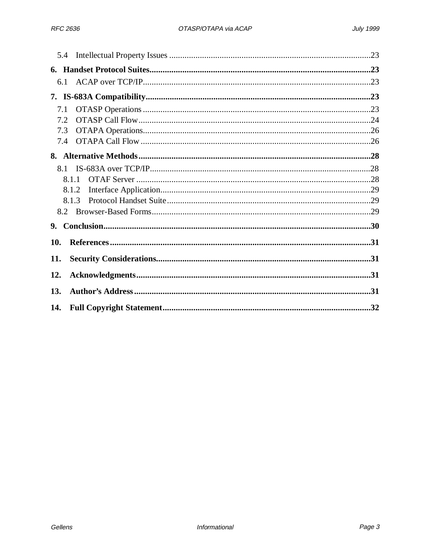| 5.4   |  |  |
|-------|--|--|
|       |  |  |
| 6.1   |  |  |
|       |  |  |
| 7.1   |  |  |
| 7.2   |  |  |
| 7.3   |  |  |
| 7.4   |  |  |
|       |  |  |
| 8.1   |  |  |
| 8.1.1 |  |  |
| 8.1.2 |  |  |
| 8.1.3 |  |  |
| 8.2   |  |  |
| 9.    |  |  |
| 10.   |  |  |
| 11.   |  |  |
| 12.   |  |  |
| 13.   |  |  |
| 14.   |  |  |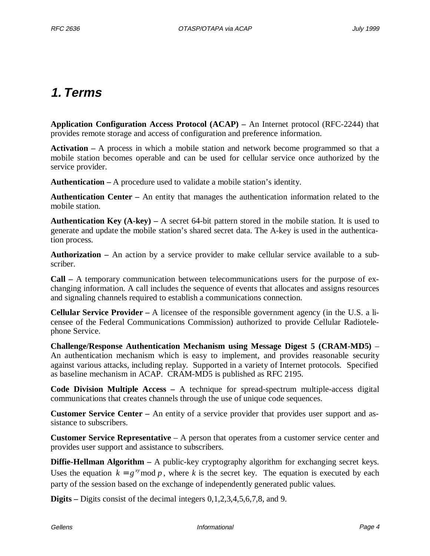# **1. Terms**

**Application Configuration Access Protocol (ACAP) –** An Internet protocol (RFC-2244) that provides remote storage and access of configuration and preference information.

**Activation –** A process in which a mobile station and network become programmed so that a mobile station becomes operable and can be used for cellular service once authorized by the service provider.

**Authentication –** A procedure used to validate a mobile station's identity.

**Authentication Center –** An entity that manages the authentication information related to the mobile station.

**Authentication Key (A-key) –** A secret 64-bit pattern stored in the mobile station. It is used to generate and update the mobile station's shared secret data. The A-key is used in the authentication process.

**Authorization –** An action by a service provider to make cellular service available to a subscriber.

**Call –** A temporary communication between telecommunications users for the purpose of exchanging information. A call includes the sequence of events that allocates and assigns resources and signaling channels required to establish a communications connection.

**Cellular Service Provider –** A licensee of the responsible government agency (in the U.S. a licensee of the Federal Communications Commission) authorized to provide Cellular Radiotelephone Service.

**Challenge/Response Authentication Mechanism using Message Digest 5 (CRAM-MD5)** – An authentication mechanism which is easy to implement, and provides reasonable security against various attacks, including replay. Supported in a variety of Internet protocols. Specified as baseline mechanism in ACAP. CRAM-MD5 is published as RFC 2195.

**Code Division Multiple Access –** A technique for spread-spectrum multiple-access digital communications that creates channels through the use of unique code sequences.

**Customer Service Center –** An entity of a service provider that provides user support and assistance to subscribers.

**Customer Service Representative** – A person that operates from a customer service center and provides user support and assistance to subscribers.

**Diffie-Hellman Algorithm –** A public-key cryptography algorithm for exchanging secret keys. Uses the equation  $k = g^{xy} \mod p$ , where *k* is the secret key. The equation is executed by each party of the session based on the exchange of independently generated public values.

**Digits –** Digits consist of the decimal integers 0,1,2,3,4,5,6,7,8, and 9.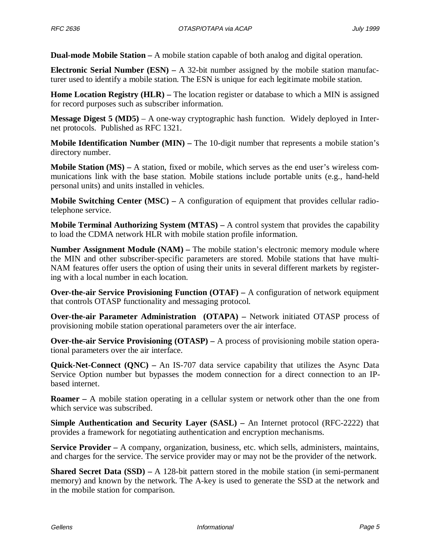**Dual-mode Mobile Station –** A mobile station capable of both analog and digital operation.

**Electronic Serial Number (ESN) –** A 32-bit number assigned by the mobile station manufacturer used to identify a mobile station. The ESN is unique for each legitimate mobile station.

**Home Location Registry (HLR)** – The location register or database to which a MIN is assigned for record purposes such as subscriber information.

**Message Digest 5 (MD5)** – A one-way cryptographic hash function. Widely deployed in Internet protocols. Published as RFC 1321.

**Mobile Identification Number (MIN)** – The 10-digit number that represents a mobile station's directory number.

**Mobile Station (MS) –** A station, fixed or mobile, which serves as the end user's wireless communications link with the base station. Mobile stations include portable units (e.g., hand-held personal units) and units installed in vehicles.

**Mobile Switching Center (MSC) –** A configuration of equipment that provides cellular radiotelephone service.

**Mobile Terminal Authorizing System (MTAS) –** A control system that provides the capability to load the CDMA network HLR with mobile station profile information.

**Number Assignment Module (NAM) –** The mobile station's electronic memory module where the MIN and other subscriber-specific parameters are stored. Mobile stations that have multi-NAM features offer users the option of using their units in several different markets by registering with a local number in each location.

**Over-the-air Service Provisioning Function (OTAF)** – A configuration of network equipment that controls OTASP functionality and messaging protocol.

**Over-the-air Parameter Administration (OTAPA) – Network initiated OTASP process of** provisioning mobile station operational parameters over the air interface.

**Over-the-air Service Provisioning (OTASP)** – A process of provisioning mobile station operational parameters over the air interface.

**Quick-Net-Connect (ONC) –** An IS-707 data service capability that utilizes the Async Data Service Option number but bypasses the modem connection for a direct connection to an IPbased internet.

**Roamer –** A mobile station operating in a cellular system or network other than the one from which service was subscribed.

**Simple Authentication and Security Layer (SASL) – An Internet protocol (RFC-2222) that** provides a framework for negotiating authentication and encryption mechanisms.

**Service Provider –** A company, organization, business, etc. which sells, administers, maintains, and charges for the service. The service provider may or may not be the provider of the network.

**Shared Secret Data (SSD)** – A 128-bit pattern stored in the mobile station (in semi-permanent memory) and known by the network. The A-key is used to generate the SSD at the network and in the mobile station for comparison.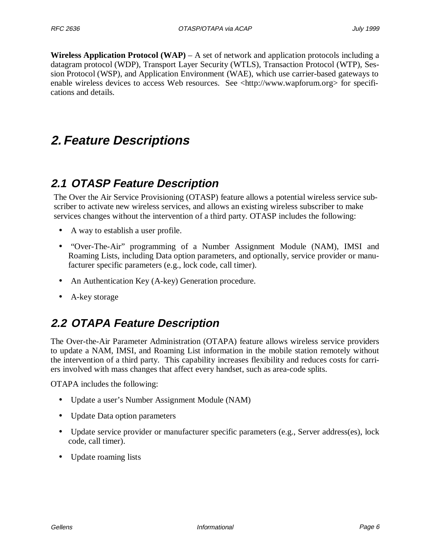**Wireless Application Protocol (WAP)** – A set of network and application protocols including a datagram protocol (WDP), Transport Layer Security (WTLS), Transaction Protocol (WTP), Session Protocol (WSP), and Application Environment (WAE), which use carrier-based gateways to enable wireless devices to access Web resources. See <http://www.wapforum.org> for specifications and details.

# **2. Feature Descriptions**

### **2.1 OTASP Feature Description**

The Over the Air Service Provisioning (OTASP) feature allows a potential wireless service subscriber to activate new wireless services, and allows an existing wireless subscriber to make services changes without the intervention of a third party. OTASP includes the following:

- A way to establish a user profile.
- "Over-The-Air" programming of a Number Assignment Module (NAM), IMSI and Roaming Lists, including Data option parameters, and optionally, service provider or manufacturer specific parameters (e.g., lock code, call timer).
- An Authentication Key (A-key) Generation procedure.
- A-key storage

### **2.2 OTAPA Feature Description**

The Over-the-Air Parameter Administration (OTAPA) feature allows wireless service providers to update a NAM, IMSI, and Roaming List information in the mobile station remotely without the intervention of a third party. This capability increases flexibility and reduces costs for carriers involved with mass changes that affect every handset, such as area-code splits.

OTAPA includes the following:

- Update a user's Number Assignment Module (NAM)
- Update Data option parameters
- Update service provider or manufacturer specific parameters (e.g., Server address(es), lock code, call timer).
- Update roaming lists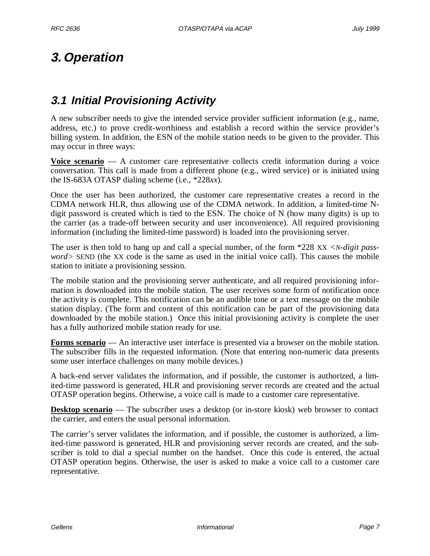# **3. Operation**

### **3.1 Initial Provisioning Activity**

A new subscriber needs to give the intended service provider sufficient information (e.g., name, address, etc.) to prove credit-worthiness and establish a record within the service provider's billing system. In addition, the ESN of the mobile station needs to be given to the provider. This may occur in three ways:

**Voice scenario** — A customer care representative collects credit information during a voice conversation. This call is made from a different phone (e.g., wired service) or is initiated using the IS-683A OTASP dialing scheme (i.e., \*228*xx*).

Once the user has been authorized, the customer care representative creates a record in the CDMA network HLR, thus allowing use of the CDMA network. In addition, a limited-time Ndigit password is created which is tied to the ESN. The choice of N (how many digits) is up to the carrier (as a trade-off between security and user inconvenience). All required provisioning information (including the limited-time password) is loaded into the provisioning server.

The user is then told to hang up and call a special number, of the form \*228 XX *<N-digit password>* SEND (the XX code is the same as used in the initial voice call). This causes the mobile station to initiate a provisioning session.

The mobile station and the provisioning server authenticate, and all required provisioning information is downloaded into the mobile station. The user receives some form of notification once the activity is complete. This notification can be an audible tone or a text message on the mobile station display. (The form and content of this notification can be part of the provisioning data downloaded by the mobile station.) Once this initial provisioning activity is complete the user has a fully authorized mobile station ready for use.

**Forms scenario** — An interactive user interface is presented via a browser on the mobile station. The subscriber fills in the requested information. (Note that entering non-numeric data presents some user interface challenges on many mobile devices.)

A back-end server validates the information, and if possible, the customer is authorized, a limited-time password is generated, HLR and provisioning server records are created and the actual OTASP operation begins. Otherwise, a voice call is made to a customer care representative.

**Desktop scenario** — The subscriber uses a desktop (or in-store kiosk) web browser to contact the carrier, and enters the usual personal information.

The carrier's server validates the information, and if possible, the customer is authorized, a limited-time password is generated, HLR and provisioning server records are created, and the subscriber is told to dial a special number on the handset. Once this code is entered, the actual OTASP operation begins. Otherwise, the user is asked to make a voice call to a customer care representative.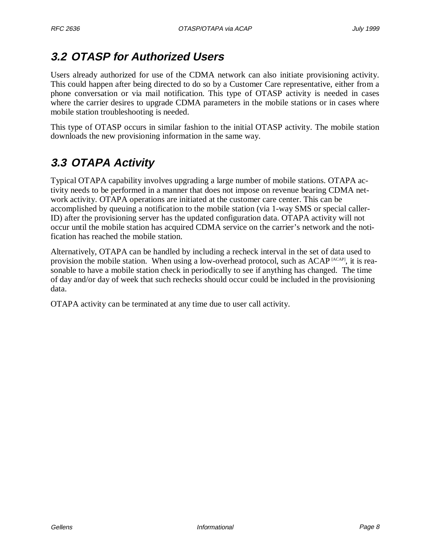### **3.2 OTASP for Authorized Users**

Users already authorized for use of the CDMA network can also initiate provisioning activity. This could happen after being directed to do so by a Customer Care representative, either from a phone conversation or via mail notification. This type of OTASP activity is needed in cases where the carrier desires to upgrade CDMA parameters in the mobile stations or in cases where mobile station troubleshooting is needed.

This type of OTASP occurs in similar fashion to the initial OTASP activity. The mobile station downloads the new provisioning information in the same way.

# **3.3 OTAPA Activity**

Typical OTAPA capability involves upgrading a large number of mobile stations. OTAPA activity needs to be performed in a manner that does not impose on revenue bearing CDMA network activity. OTAPA operations are initiated at the customer care center. This can be accomplished by queuing a notification to the mobile station (via 1-way SMS or special caller-ID) after the provisioning server has the updated configuration data. OTAPA activity will not occur until the mobile station has acquired CDMA service on the carrier's network and the notification has reached the mobile station.

Alternatively, OTAPA can be handled by including a recheck interval in the set of data used to provision the mobile station. When using a low-overhead protocol, such as ACAP  $[ACAP]$ , it is reasonable to have a mobile station check in periodically to see if anything has changed. The time of day and/or day of week that such rechecks should occur could be included in the provisioning data.

OTAPA activity can be terminated at any time due to user call activity.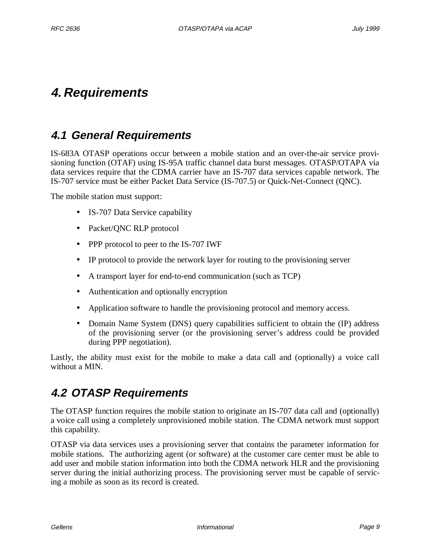# **4. Requirements**

### **4.1 General Requirements**

IS-683A OTASP operations occur between a mobile station and an over-the-air service provisioning function (OTAF) using IS-95A traffic channel data burst messages. OTASP/OTAPA via data services require that the CDMA carrier have an IS-707 data services capable network. The IS-707 service must be either Packet Data Service (IS-707.5) or Quick-Net-Connect (QNC).

The mobile station must support:

- IS-707 Data Service capability
- Packet/QNC RLP protocol
- PPP protocol to peer to the IS-707 IWF
- IP protocol to provide the network layer for routing to the provisioning server
- A transport layer for end-to-end communication (such as TCP)
- Authentication and optionally encryption
- Application software to handle the provisioning protocol and memory access.
- Domain Name System (DNS) query capabilities sufficient to obtain the (IP) address of the provisioning server (or the provisioning server's address could be provided during PPP negotiation).

Lastly, the ability must exist for the mobile to make a data call and (optionally) a voice call without a MIN.

### **4.2 OTASP Requirements**

The OTASP function requires the mobile station to originate an IS-707 data call and (optionally) a voice call using a completely unprovisioned mobile station. The CDMA network must support this capability.

OTASP via data services uses a provisioning server that contains the parameter information for mobile stations. The authorizing agent (or software) at the customer care center must be able to add user and mobile station information into both the CDMA network HLR and the provisioning server during the initial authorizing process. The provisioning server must be capable of servicing a mobile as soon as its record is created.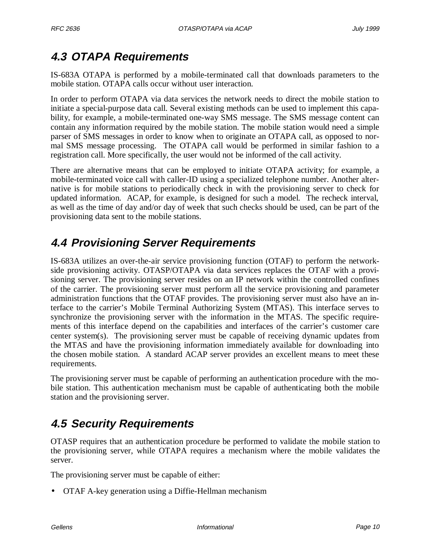# **4.3 OTAPA Requirements**

IS-683A OTAPA is performed by a mobile-terminated call that downloads parameters to the mobile station. OTAPA calls occur without user interaction.

In order to perform OTAPA via data services the network needs to direct the mobile station to initiate a special-purpose data call. Several existing methods can be used to implement this capability, for example, a mobile-terminated one-way SMS message. The SMS message content can contain any information required by the mobile station. The mobile station would need a simple parser of SMS messages in order to know when to originate an OTAPA call, as opposed to normal SMS message processing. The OTAPA call would be performed in similar fashion to a registration call. More specifically, the user would not be informed of the call activity.

There are alternative means that can be employed to initiate OTAPA activity; for example, a mobile-terminated voice call with caller-ID using a specialized telephone number. Another alternative is for mobile stations to periodically check in with the provisioning server to check for updated information. ACAP, for example, is designed for such a model. The recheck interval, as well as the time of day and/or day of week that such checks should be used, can be part of the provisioning data sent to the mobile stations.

### **4.4 Provisioning Server Requirements**

IS-683A utilizes an over-the-air service provisioning function (OTAF) to perform the networkside provisioning activity. OTASP/OTAPA via data services replaces the OTAF with a provisioning server. The provisioning server resides on an IP network within the controlled confines of the carrier. The provisioning server must perform all the service provisioning and parameter administration functions that the OTAF provides. The provisioning server must also have an interface to the carrier's Mobile Terminal Authorizing System (MTAS). This interface serves to synchronize the provisioning server with the information in the MTAS. The specific requirements of this interface depend on the capabilities and interfaces of the carrier's customer care center system(s). The provisioning server must be capable of receiving dynamic updates from the MTAS and have the provisioning information immediately available for downloading into the chosen mobile station. A standard ACAP server provides an excellent means to meet these requirements.

The provisioning server must be capable of performing an authentication procedure with the mobile station. This authentication mechanism must be capable of authenticating both the mobile station and the provisioning server.

# **4.5 Security Requirements**

OTASP requires that an authentication procedure be performed to validate the mobile station to the provisioning server, while OTAPA requires a mechanism where the mobile validates the server.

The provisioning server must be capable of either:

• OTAF A-key generation using a Diffie-Hellman mechanism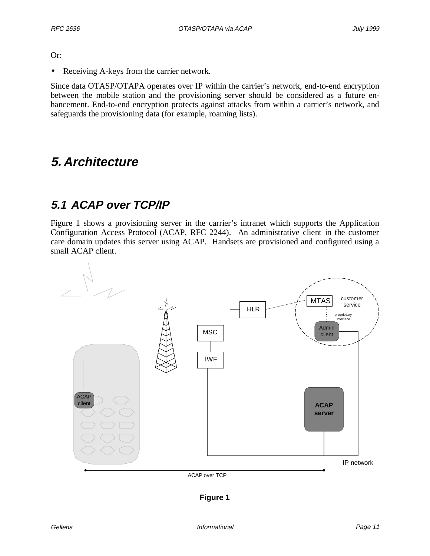Or:

• Receiving A-keys from the carrier network.

Since data OTASP/OTAPA operates over IP within the carrier's network, end-to-end encryption between the mobile station and the provisioning server should be considered as a future enhancement. End-to-end encryption protects against attacks from within a carrier's network, and safeguards the provisioning data (for example, roaming lists).

### **5. Architecture**

### **5.1 ACAP over TCP/IP**

Figure 1 shows a provisioning server in the carrier's intranet which supports the Application Configuration Access Protocol (ACAP, RFC 2244). An administrative client in the customer care domain updates this server using ACAP. Handsets are provisioned and configured using a small ACAP client.



**Figure 1**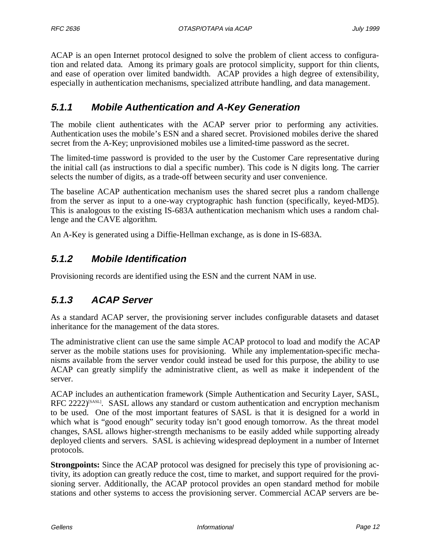ACAP is an open Internet protocol designed to solve the problem of client access to configuration and related data. Among its primary goals are protocol simplicity, support for thin clients, and ease of operation over limited bandwidth. ACAP provides a high degree of extensibility, especially in authentication mechanisms, specialized attribute handling, and data management.

### **5.1.1 Mobile Authentication and A-Key Generation**

The mobile client authenticates with the ACAP server prior to performing any activities. Authentication uses the mobile's ESN and a shared secret. Provisioned mobiles derive the shared secret from the A-Key; unprovisioned mobiles use a limited-time password as the secret.

The limited-time password is provided to the user by the Customer Care representative during the initial call (as instructions to dial a specific number). This code is N digits long. The carrier selects the number of digits, as a trade-off between security and user convenience.

The baseline ACAP authentication mechanism uses the shared secret plus a random challenge from the server as input to a one-way cryptographic hash function (specifically, keyed-MD5). This is analogous to the existing IS-683A authentication mechanism which uses a random challenge and the CAVE algorithm.

An A-Key is generated using a Diffie-Hellman exchange, as is done in IS-683A.

### **5.1.2 Mobile Identification**

Provisioning records are identified using the ESN and the current NAM in use.

### **5.1.3 ACAP Server**

As a standard ACAP server, the provisioning server includes configurable datasets and dataset inheritance for the management of the data stores.

The administrative client can use the same simple ACAP protocol to load and modify the ACAP server as the mobile stations uses for provisioning. While any implementation-specific mechanisms available from the server vendor could instead be used for this purpose, the ability to use ACAP can greatly simplify the administrative client, as well as make it independent of the server.

ACAP includes an authentication framework (Simple Authentication and Security Layer, SASL, RFC 2222 $)$ <sup>[SASL]</sup>. SASL allows any standard or custom authentication and encryption mechanism to be used. One of the most important features of SASL is that it is designed for a world in which what is "good enough" security today isn't good enough tomorrow. As the threat model changes, SASL allows higher-strength mechanisms to be easily added while supporting already deployed clients and servers. SASL is achieving widespread deployment in a number of Internet protocols.

**Strongpoints:** Since the ACAP protocol was designed for precisely this type of provisioning activity, its adoption can greatly reduce the cost, time to market, and support required for the provisioning server. Additionally, the ACAP protocol provides an open standard method for mobile stations and other systems to access the provisioning server. Commercial ACAP servers are be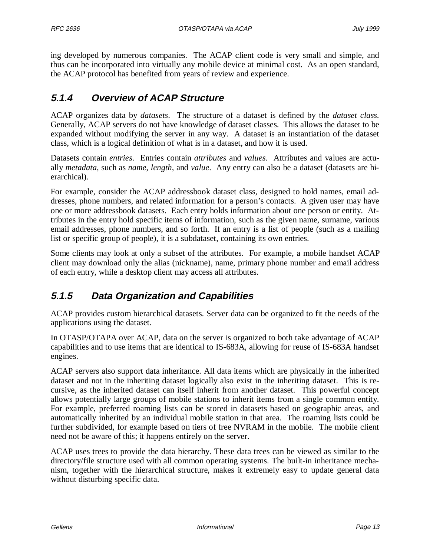ing developed by numerous companies. The ACAP client code is very small and simple, and thus can be incorporated into virtually any mobile device at minimal cost. As an open standard, the ACAP protocol has benefited from years of review and experience.

### **5.1.4 Overview of ACAP Structure**

ACAP organizes data by *datasets*. The structure of a dataset is defined by the *dataset class*. Generally, ACAP servers do not have knowledge of dataset classes. This allows the dataset to be expanded without modifying the server in any way. A dataset is an instantiation of the dataset class, which is a logical definition of what is in a dataset, and how it is used.

Datasets contain *entries*. Entries contain *attributes* and *values*. Attributes and values are actually *metadata*, such as *name*, *length*, and *value*. Any entry can also be a dataset (datasets are hierarchical).

For example, consider the ACAP addressbook dataset class, designed to hold names, email addresses, phone numbers, and related information for a person's contacts. A given user may have one or more addressbook datasets. Each entry holds information about one person or entity. Attributes in the entry hold specific items of information, such as the given name, surname, various email addresses, phone numbers, and so forth. If an entry is a list of people (such as a mailing list or specific group of people), it is a subdataset, containing its own entries.

Some clients may look at only a subset of the attributes. For example, a mobile handset ACAP client may download only the alias (nickname), name, primary phone number and email address of each entry, while a desktop client may access all attributes.

### **5.1.5 Data Organization and Capabilities**

ACAP provides custom hierarchical datasets. Server data can be organized to fit the needs of the applications using the dataset.

In OTASP/OTAPA over ACAP, data on the server is organized to both take advantage of ACAP capabilities and to use items that are identical to IS-683A, allowing for reuse of IS-683A handset engines.

ACAP servers also support data inheritance. All data items which are physically in the inherited dataset and not in the inheriting dataset logically also exist in the inheriting dataset. This is recursive, as the inherited dataset can itself inherit from another dataset. This powerful concept allows potentially large groups of mobile stations to inherit items from a single common entity. For example, preferred roaming lists can be stored in datasets based on geographic areas, and automatically inherited by an individual mobile station in that area. The roaming lists could be further subdivided, for example based on tiers of free NVRAM in the mobile. The mobile client need not be aware of this; it happens entirely on the server.

ACAP uses trees to provide the data hierarchy. These data trees can be viewed as similar to the directory/file structure used with all common operating systems. The built-in inheritance mechanism, together with the hierarchical structure, makes it extremely easy to update general data without disturbing specific data.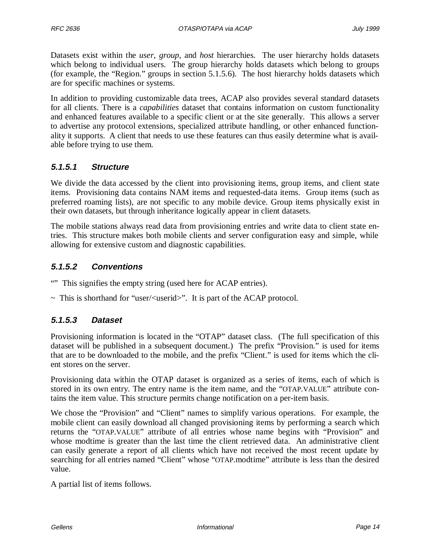Datasets exist within the *user*, *group*, and *host* hierarchies. The user hierarchy holds datasets which belong to individual users. The group hierarchy holds datasets which belong to groups (for example, the "Region." groups in section 5.1.5.6). The host hierarchy holds datasets which are for specific machines or systems.

In addition to providing customizable data trees, ACAP also provides several standard datasets for all clients. There is a *capabilities* dataset that contains information on custom functionality and enhanced features available to a specific client or at the site generally. This allows a server to advertise any protocol extensions, specialized attribute handling, or other enhanced functionality it supports. A client that needs to use these features can thus easily determine what is available before trying to use them.

### **5.1.5.1 Structure**

We divide the data accessed by the client into provisioning items, group items, and client state items. Provisioning data contains NAM items and requested-data items. Group items (such as preferred roaming lists), are not specific to any mobile device. Group items physically exist in their own datasets, but through inheritance logically appear in client datasets.

The mobile stations always read data from provisioning entries and write data to client state entries. This structure makes both mobile clients and server configuration easy and simple, while allowing for extensive custom and diagnostic capabilities.

### **5.1.5.2 Conventions**

- "" This signifies the empty string (used here for ACAP entries).
- $\sim$  This is shorthand for "user/ $\lt$ userid $\gt$ ". It is part of the ACAP protocol.

### **5.1.5.3 Dataset**

Provisioning information is located in the "OTAP" dataset class. (The full specification of this dataset will be published in a subsequent document.) The prefix "Provision." is used for items that are to be downloaded to the mobile, and the prefix "Client." is used for items which the client stores on the server.

Provisioning data within the OTAP dataset is organized as a series of items, each of which is stored in its own entry. The entry name is the item name, and the "OTAP.VALUE" attribute contains the item value. This structure permits change notification on a per-item basis.

We chose the "Provision" and "Client" names to simplify various operations. For example, the mobile client can easily download all changed provisioning items by performing a search which returns the "OTAP.VALUE" attribute of all entries whose name begins with "Provision" and whose modtime is greater than the last time the client retrieved data. An administrative client can easily generate a report of all clients which have not received the most recent update by searching for all entries named "Client" whose "OTAP.modtime" attribute is less than the desired value.

A partial list of items follows.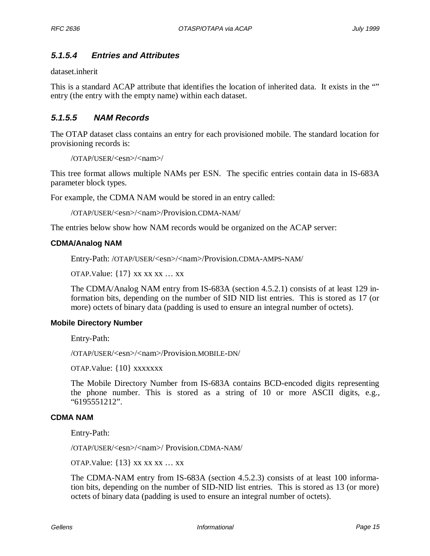### **5.1.5.4 Entries and Attributes**

dataset.inherit

This is a standard ACAP attribute that identifies the location of inherited data. It exists in the "" entry (the entry with the empty name) within each dataset.

### **5.1.5.5 NAM Records**

The OTAP dataset class contains an entry for each provisioned mobile. The standard location for provisioning records is:

```
/OTAP/USER/<esn>/<nam>/
```
This tree format allows multiple NAMs per ESN. The specific entries contain data in IS-683A parameter block types.

For example, the CDMA NAM would be stored in an entry called:

```
/OTAP/USER/<esn>/<nam>/Provision.CDMA-NAM/
```
The entries below show how NAM records would be organized on the ACAP server:

#### **CDMA/Analog NAM**

Entry-Path: /OTAP/USER/<esn>/<nam>/Provision.CDMA-AMPS-NAM/

OTAP. Value:  $\{17\}$  xx xx xx ... xx

The CDMA/Analog NAM entry from IS-683A (section 4.5.2.1) consists of at least 129 information bits, depending on the number of SID NID list entries. This is stored as 17 (or more) octets of binary data (padding is used to ensure an integral number of octets).

#### **Mobile Directory Number**

Entry-Path:

/OTAP/USER/<esn>/<nam>/Provision.MOBILE-DN/

OTAP.Value: {10} xxxxxxx

The Mobile Directory Number from IS-683A contains BCD-encoded digits representing the phone number. This is stored as a string of 10 or more ASCII digits, e.g., "6195551212".

#### **CDMA NAM**

Entry-Path:

/OTAP/USER/<esn>/<nam>/ Provision.CDMA-NAM/

OTAP. Value:  $\{13\}$  xx xx xx ... xx

The CDMA-NAM entry from IS-683A (section 4.5.2.3) consists of at least 100 information bits, depending on the number of SID-NID list entries. This is stored as 13 (or more) octets of binary data (padding is used to ensure an integral number of octets).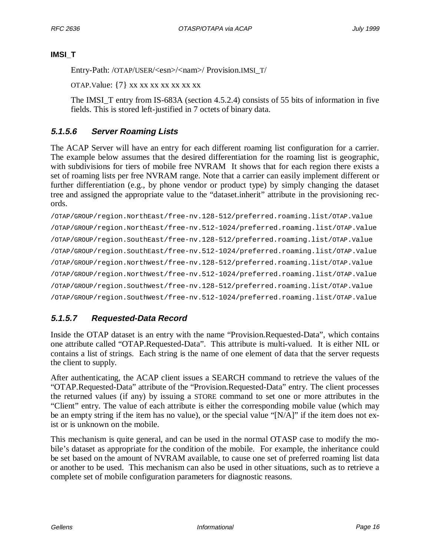#### **IMSI\_T**

Entry-Path: /OTAP/USER/<esn>/<nam>/ Provision.IMSI\_T/

OTAP.Value: {7} xx xx xx xx xx xx xx

The IMSI\_T entry from IS-683A (section 4.5.2.4) consists of 55 bits of information in five fields. This is stored left-justified in 7 octets of binary data.

### **5.1.5.6 Server Roaming Lists**

The ACAP Server will have an entry for each different roaming list configuration for a carrier. The example below assumes that the desired differentiation for the roaming list is geographic, with subdivisions for tiers of mobile free NVRAM It shows that for each region there exists a set of roaming lists per free NVRAM range. Note that a carrier can easily implement different or further differentiation (e.g., by phone vendor or product type) by simply changing the dataset tree and assigned the appropriate value to the "dataset.inherit" attribute in the provisioning records.

```
/OTAP/GROUP/region.NorthEast/free-nv.128-512/preferred.roaming.list/OTAP.Value
/OTAP/GROUP/region.NorthEast/free-nv.512-1024/preferred.roaming.list/OTAP.Value
/OTAP/GROUP/region.SouthEast/free-nv.128-512/preferred.roaming.list/OTAP.Value
/OTAP/GROUP/region.SouthEast/free-nv.512-1024/preferred.roaming.list/OTAP.Value
/OTAP/GROUP/region.NorthWest/free-nv.128-512/preferred.roaming.list/OTAP.Value
/OTAP/GROUP/region.NorthWest/free-nv.512-1024/preferred.roaming.list/OTAP.Value
/OTAP/GROUP/region.SouthWest/free-nv.128-512/preferred.roaming.list/OTAP.Value
/OTAP/GROUP/region.SouthWest/free-nv.512-1024/preferred.roaming.list/OTAP.Value
```
### **5.1.5.7 Requested-Data Record**

Inside the OTAP dataset is an entry with the name "Provision.Requested-Data", which contains one attribute called "OTAP.Requested-Data". This attribute is multi-valued. It is either NIL or contains a list of strings. Each string is the name of one element of data that the server requests the client to supply.

After authenticating, the ACAP client issues a SEARCH command to retrieve the values of the "OTAP.Requested-Data" attribute of the "Provision.Requested-Data" entry. The client processes the returned values (if any) by issuing a STORE command to set one or more attributes in the "Client" entry. The value of each attribute is either the corresponding mobile value (which may be an empty string if the item has no value), or the special value "[N/A]" if the item does not exist or is unknown on the mobile.

This mechanism is quite general, and can be used in the normal OTASP case to modify the mobile's dataset as appropriate for the condition of the mobile. For example, the inheritance could be set based on the amount of NVRAM available, to cause one set of preferred roaming list data or another to be used. This mechanism can also be used in other situations, such as to retrieve a complete set of mobile configuration parameters for diagnostic reasons.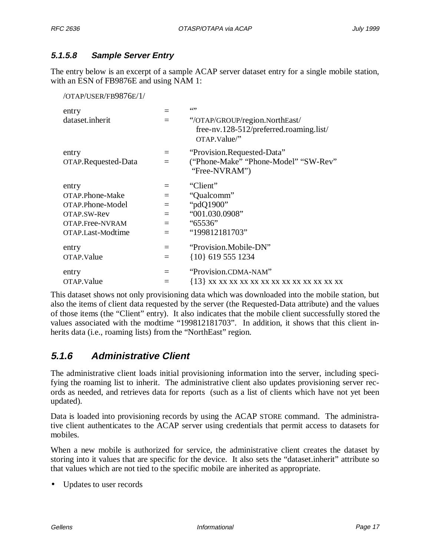### **5.1.5.8 Sample Server Entry**

The entry below is an excerpt of a sample ACAP server dataset entry for a single mobile station, with an ESN of FB9876E and using NAM 1:

/OTAP/USER/FB9876E/1/

| entry               |          | 6599                                                                                      |
|---------------------|----------|-------------------------------------------------------------------------------------------|
| dataset.inherit     |          | "/OTAP/GROUP/region.NorthEast/<br>free-nv.128-512/preferred.roaming.list/<br>OTAP.Value/" |
| entry               | $=$      | "Provision.Requested-Data"                                                                |
| OTAP.Requested-Data | $=$      | "Phone-Make" "Phone-Model" "SW-Rev"                                                       |
|                     |          | "Free-NVRAM")                                                                             |
| entry               | $=$      | "Client"                                                                                  |
| OTAP.Phone-Make     | $=$      | "Qualcomm"                                                                                |
| OTAP.Phone-Model    | $=$      | "pdQ1900"                                                                                 |
| OTAP.SW-Rev         | $=$      | "001.030.0908"                                                                            |
| OTAP.Free-NVRAM     | $\equiv$ | "65536"                                                                                   |
| OTAP.Last-Modtime   | $=$      | "199812181703"                                                                            |
| entry               | $=$      | "Provision.Mobile-DN"                                                                     |
| OTAP.Value          | $=$      | {10} 619 555 1234                                                                         |
| entry               | $=$      | "Provision.CDMA-NAM"                                                                      |
| OTAP.Value          | $=$      |                                                                                           |

This dataset shows not only provisioning data which was downloaded into the mobile station, but also the items of client data requested by the server (the Requested-Data attribute) and the values of those items (the "Client" entry). It also indicates that the mobile client successfully stored the values associated with the modtime "199812181703". In addition, it shows that this client inherits data (i.e., roaming lists) from the "NorthEast" region.

### **5.1.6 Administrative Client**

The administrative client loads initial provisioning information into the server, including specifying the roaming list to inherit. The administrative client also updates provisioning server records as needed, and retrieves data for reports (such as a list of clients which have not yet been updated).

Data is loaded into provisioning records by using the ACAP STORE command. The administrative client authenticates to the ACAP server using credentials that permit access to datasets for mobiles.

When a new mobile is authorized for service, the administrative client creates the dataset by storing into it values that are specific for the device. It also sets the "dataset.inherit" attribute so that values which are not tied to the specific mobile are inherited as appropriate.

• Updates to user records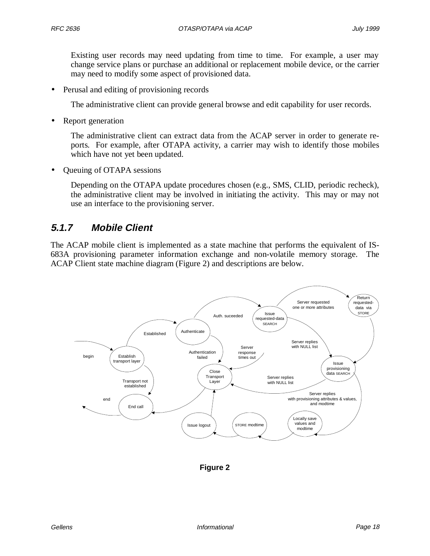Existing user records may need updating from time to time. For example, a user may change service plans or purchase an additional or replacement mobile device, or the carrier may need to modify some aspect of provisioned data.

• Perusal and editing of provisioning records

The administrative client can provide general browse and edit capability for user records.

• Report generation

The administrative client can extract data from the ACAP server in order to generate reports. For example, after OTAPA activity, a carrier may wish to identify those mobiles which have not yet been updated.

• Queuing of OTAPA sessions

Depending on the OTAPA update procedures chosen (e.g., SMS, CLID, periodic recheck), the administrative client may be involved in initiating the activity. This may or may not use an interface to the provisioning server.

### **5.1.7 Mobile Client**

The ACAP mobile client is implemented as a state machine that performs the equivalent of IS-683A provisioning parameter information exchange and non-volatile memory storage. The ACAP Client state machine diagram (Figure 2) and descriptions are below.



**Figure 2**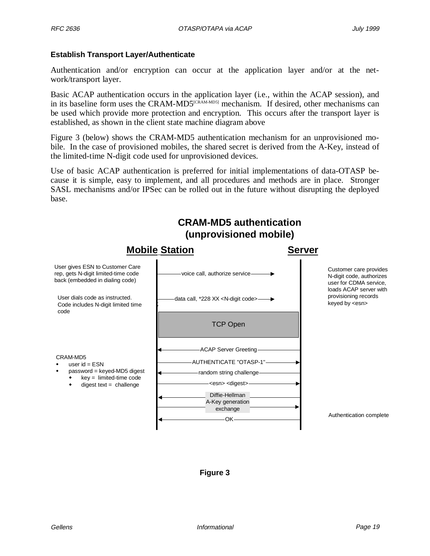#### **Establish Transport Layer/Authenticate**

Authentication and/or encryption can occur at the application layer and/or at the network/transport layer.

Basic ACAP authentication occurs in the application layer (i.e., within the ACAP session), and in its baseline form uses the CRAM-MD5<sup>[CRAM-MD5]</sup> mechanism. If desired, other mechanisms can be used which provide more protection and encryption. This occurs after the transport layer is established, as shown in the client state machine diagram above

Figure 3 (below) shows the CRAM-MD5 authentication mechanism for an unprovisioned mobile. In the case of provisioned mobiles, the shared secret is derived from the A-Key, instead of the limited-time N-digit code used for unprovisioned devices.

Use of basic ACAP authentication is preferred for initial implementations of data-OTASP because it is simple, easy to implement, and all procedures and methods are in place. Stronger SASL mechanisms and/or IPSec can be rolled out in the future without disrupting the deployed base.



#### **Figure 3**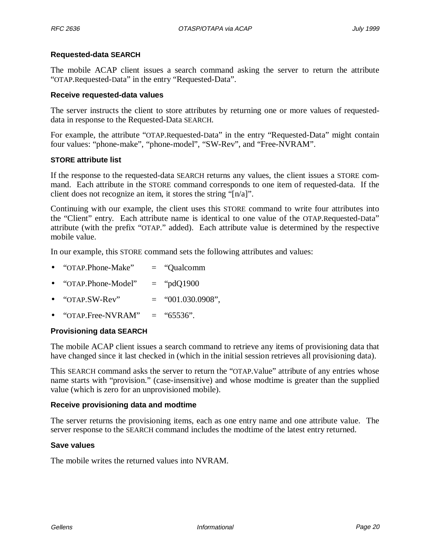#### **Requested-data SEARCH**

The mobile ACAP client issues a search command asking the server to return the attribute "OTAP.Requested-Data" in the entry "Requested-Data".

#### **Receive requested-data values**

The server instructs the client to store attributes by returning one or more values of requesteddata in response to the Requested-Data SEARCH.

For example, the attribute "OTAP.Requested-Data" in the entry "Requested-Data" might contain four values: "phone-make", "phone-model", "SW-Rev", and "Free-NVRAM".

#### **STORE attribute list**

If the response to the requested-data SEARCH returns any values, the client issues a STORE command. Each attribute in the STORE command corresponds to one item of requested-data. If the client does not recognize an item, it stores the string "[n/a]".

Continuing with our example, the client uses this STORE command to write four attributes into the "Client" entry. Each attribute name is identical to one value of the OTAP.Requested-Data" attribute (with the prefix "OTAP." added). Each attribute value is determined by the respective mobile value.

In our example, this STORE command sets the following attributes and values:

- "OTAP.Phone-Make" = "Qualcomm
- " $OTAP. Phone-Model" = "pdQ1900"$
- "OTAP.SW-Rev"  $=$  "001.030.0908",
- "OTAP.Free-NVRAM"  $=$  "65536".

#### **Provisioning data SEARCH**

The mobile ACAP client issues a search command to retrieve any items of provisioning data that have changed since it last checked in (which in the initial session retrieves all provisioning data).

This SEARCH command asks the server to return the "OTAP.Value" attribute of any entries whose name starts with "provision." (case-insensitive) and whose modtime is greater than the supplied value (which is zero for an unprovisioned mobile).

#### **Receive provisioning data and modtime**

The server returns the provisioning items, each as one entry name and one attribute value. The server response to the SEARCH command includes the modtime of the latest entry returned.

#### **Save values**

The mobile writes the returned values into NVRAM.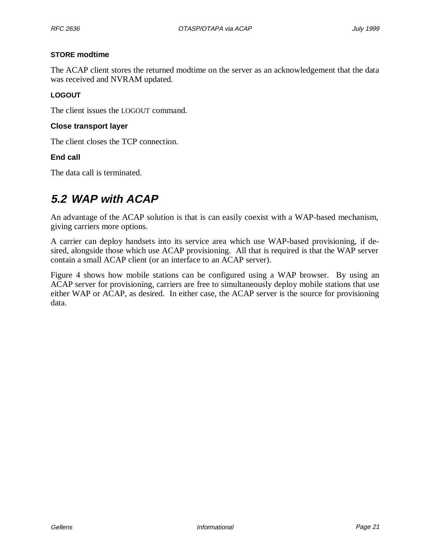#### **STORE modtime**

The ACAP client stores the returned modtime on the server as an acknowledgement that the data was received and NVRAM updated.

### **LOGOUT**

The client issues the LOGOUT command.

#### **Close transport layer**

The client closes the TCP connection.

#### **End call**

The data call is terminated.

### **5.2 WAP with ACAP**

An advantage of the ACAP solution is that is can easily coexist with a WAP-based mechanism, giving carriers more options.

A carrier can deploy handsets into its service area which use WAP-based provisioning, if desired, alongside those which use ACAP provisioning. All that is required is that the WAP server contain a small ACAP client (or an interface to an ACAP server).

Figure 4 shows how mobile stations can be configured using a WAP browser. By using an ACAP server for provisioning, carriers are free to simultaneously deploy mobile stations that use either WAP or ACAP, as desired. In either case, the ACAP server is the source for provisioning data.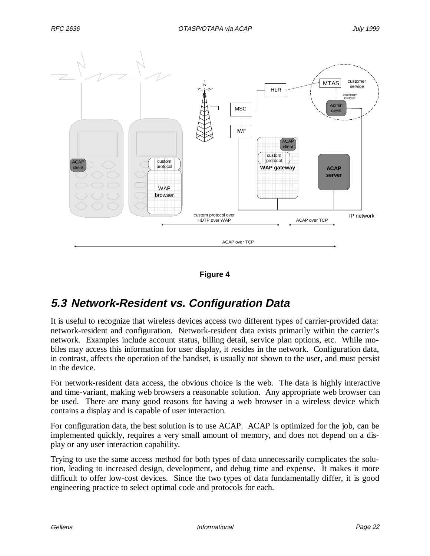



### **5.3 Network-Resident vs. Configuration Data**

It is useful to recognize that wireless devices access two different types of carrier-provided data: network-resident and configuration. Network-resident data exists primarily within the carrier's network. Examples include account status, billing detail, service plan options, etc. While mobiles may access this information for user display, it resides in the network. Configuration data, in contrast, affects the operation of the handset, is usually not shown to the user, and must persist in the device.

For network-resident data access, the obvious choice is the web. The data is highly interactive and time-variant, making web browsers a reasonable solution. Any appropriate web browser can be used. There are many good reasons for having a web browser in a wireless device which contains a display and is capable of user interaction.

For configuration data, the best solution is to use ACAP. ACAP is optimized for the job, can be implemented quickly, requires a very small amount of memory, and does not depend on a display or any user interaction capability.

Trying to use the same access method for both types of data unnecessarily complicates the solution, leading to increased design, development, and debug time and expense. It makes it more difficult to offer low-cost devices. Since the two types of data fundamentally differ, it is good engineering practice to select optimal code and protocols for each.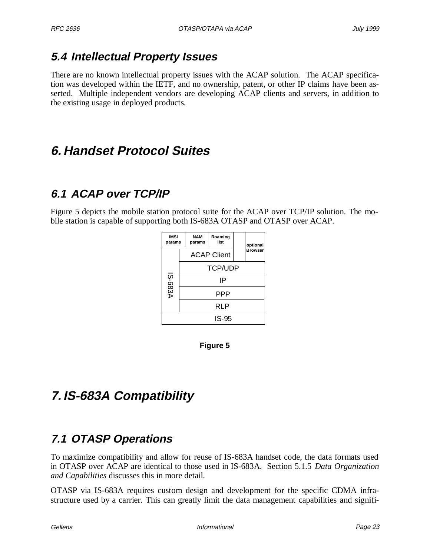### **5.4 Intellectual Property Issues**

There are no known intellectual property issues with the ACAP solution. The ACAP specification was developed within the IETF, and no ownership, patent, or other IP claims have been asserted. Multiple independent vendors are developing ACAP clients and servers, in addition to the existing usage in deployed products.

# **6. Handset Protocol Suites**

# **6.1 ACAP over TCP/IP**

Figure 5 depicts the mobile station protocol suite for the ACAP over TCP/IP solution. The mobile station is capable of supporting both IS-683A OTASP and OTASP over ACAP.

| <b>IMSI</b><br>params |  | <b>NAM</b><br>params | Roaming<br>list    | optional       |
|-----------------------|--|----------------------|--------------------|----------------|
|                       |  |                      | <b>ACAP Client</b> | <b>Browser</b> |
|                       |  |                      | <b>TCP/UDP</b>     |                |
| <b>IS-683A</b>        |  |                      | IP                 |                |
|                       |  |                      | PPP                |                |
|                       |  |                      | RLP                |                |
|                       |  |                      | IS-95              |                |

**Figure 5**

# **7. IS-683A Compatibility**

# **7.1 OTASP Operations**

To maximize compatibility and allow for reuse of IS-683A handset code, the data formats used in OTASP over ACAP are identical to those used in IS-683A. Section 5.1.5 *Data Organization and Capabilities* discusses this in more detail.

OTASP via IS-683A requires custom design and development for the specific CDMA infrastructure used by a carrier. This can greatly limit the data management capabilities and signifi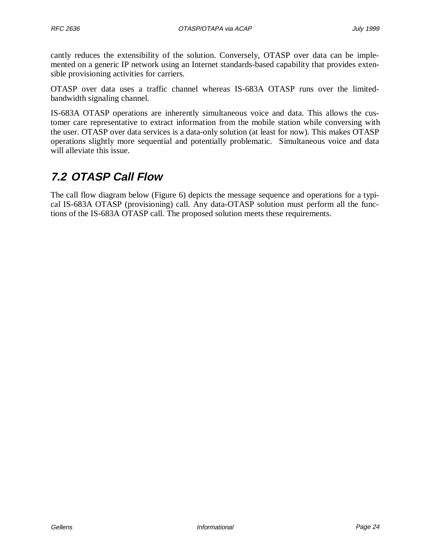cantly reduces the extensibility of the solution. Conversely, OTASP over data can be implemented on a generic IP network using an Internet standards-based capability that provides extensible provisioning activities for carriers.

OTASP over data uses a traffic channel whereas IS-683A OTASP runs over the limitedbandwidth signaling channel.

IS-683A OTASP operations are inherently simultaneous voice and data. This allows the customer care representative to extract information from the mobile station while conversing with the user. OTASP over data services is a data-only solution (at least for now). This makes OTASP operations slightly more sequential and potentially problematic. Simultaneous voice and data will alleviate this issue.

### **7.2 OTASP Call Flow**

The call flow diagram below (Figure 6) depicts the message sequence and operations for a typical IS-683A OTASP (provisioning) call. Any data-OTASP solution must perform all the functions of the IS-683A OTASP call. The proposed solution meets these requirements.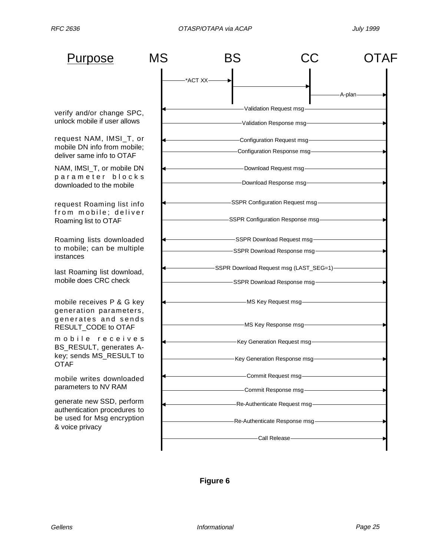MS BS CC OTAF Roaming lists downloaded to mobile; can be multiple instances verify and/or change SPC, unlock mobile if user allows last Roaming list download, mobile does CRC check A-plan Purpose request NAM, IMSI\_T, or mobile DN info from mobile; deliver same info to OTAF NAM, IMSI\_T, or mobile DN parameter blocks downloaded to the mobile request Roaming list info from mobile; deliver Roaming list to OTAF mobile receives P & G key generation parameters, generates and sends RESULT\_CODE to OTAF mobile receives BS\_RESULT, generates Akey; sends MS\_RESULT to **OTAF** generate new SSD, perform authentication procedures to be used for Msg encryption & voice privacy mobile writes downloaded parameters to NV RAM \*ACT XX Validation Request msg -Validation Response msg--Configuration Request msg-Configuration Response msg -Download Response msg-Download Request msg SSPR Configuration Response msg SSPR Configuration Request msg SSPR Download Response msg SSPR Download Request msg -MS Key Response msg-MS Key Request msg--Key Generation Response msg--Key Generation Request msg-Commit Response msg Commit Request msg Re-Authenticate Response msg Re-Authenticate Request msg -Call Release--SSPR Download Response msg-SSPR Download Request msg (LAST\_SEG=1)

**Figure 6**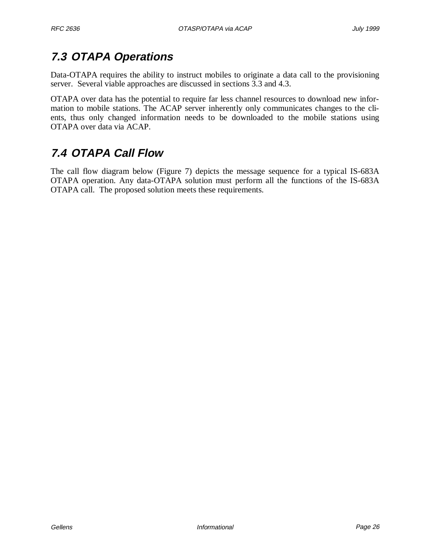### **7.3 OTAPA Operations**

Data-OTAPA requires the ability to instruct mobiles to originate a data call to the provisioning server. Several viable approaches are discussed in sections 3.3 and 4.3.

OTAPA over data has the potential to require far less channel resources to download new information to mobile stations. The ACAP server inherently only communicates changes to the clients, thus only changed information needs to be downloaded to the mobile stations using OTAPA over data via ACAP.

### **7.4 OTAPA Call Flow**

The call flow diagram below (Figure 7) depicts the message sequence for a typical IS-683A OTAPA operation. Any data-OTAPA solution must perform all the functions of the IS-683A OTAPA call. The proposed solution meets these requirements.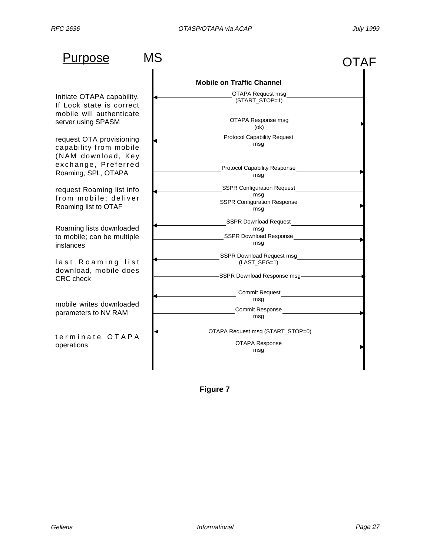| Purpose                                                                   | MS |                                                                                       | OTAF |
|---------------------------------------------------------------------------|----|---------------------------------------------------------------------------------------|------|
|                                                                           |    | <b>Mobile on Traffic Channel</b>                                                      |      |
| Initiate OTAPA capability.<br>If Lock state is correct                    |    | OTAPA Request msg<br>(START_STOP=1)                                                   |      |
| mobile will authenticate<br>server using SPASM                            |    | OTAPA Response msg<br>(ok)                                                            |      |
| request OTA provisioning<br>capability from mobile<br>(NAM download, Key  |    | <b>Protocol Capability Request</b><br>msg                                             |      |
| exchange, Preferred<br>Roaming, SPL, OTAPA                                |    | <b>Protocol Capability Response</b><br>msg                                            |      |
| request Roaming list info<br>from mobile; deliver<br>Roaming list to OTAF |    | <b>SSPR Configuration Request</b><br>msq<br><b>SSPR Configuration Response</b><br>msq |      |
| Roaming lists downloaded<br>to mobile; can be multiple<br>instances       |    | <b>SSPR Download Request</b><br>msg<br>SSPR Download Response<br>msg                  |      |
| last Roaming list<br>download, mobile does<br><b>CRC</b> check            |    | SSPR Download Request msg<br>(LAST_SEG=1)<br>-SSPR Download Response msg-             |      |
| mobile writes downloaded<br>parameters to NV RAM                          |    | Commit Request<br>msg<br><b>Commit Response</b><br>msq                                |      |
| terminate OTAPA<br>operations                                             |    | -OTAPA Request msg (START_STOP=0)-<br>OTAPA Response<br>msg                           |      |

**Figure 7**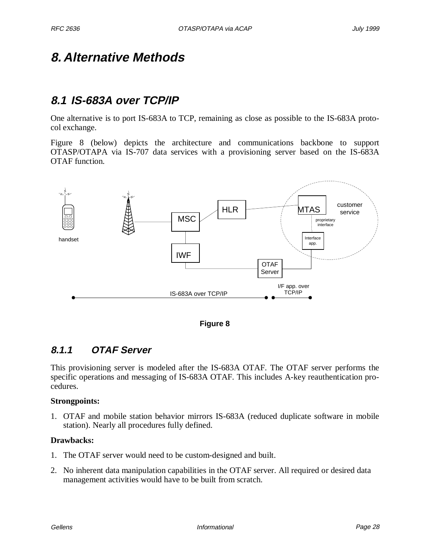### **8. Alternative Methods**

### **8.1 IS-683A over TCP/IP**

One alternative is to port IS-683A to TCP, remaining as close as possible to the IS-683A protocol exchange.

Figure 8 (below) depicts the architecture and communications backbone to support OTASP/OTAPA via IS-707 data services with a provisioning server based on the IS-683A OTAF function.



**Figure 8**

### **8.1.1 OTAF Server**

This provisioning server is modeled after the IS-683A OTAF. The OTAF server performs the specific operations and messaging of IS-683A OTAF. This includes A-key reauthentication procedures.

#### **Strongpoints:**

1. OTAF and mobile station behavior mirrors IS-683A (reduced duplicate software in mobile station). Nearly all procedures fully defined.

#### **Drawbacks:**

- 1. The OTAF server would need to be custom-designed and built.
- 2. No inherent data manipulation capabilities in the OTAF server. All required or desired data management activities would have to be built from scratch.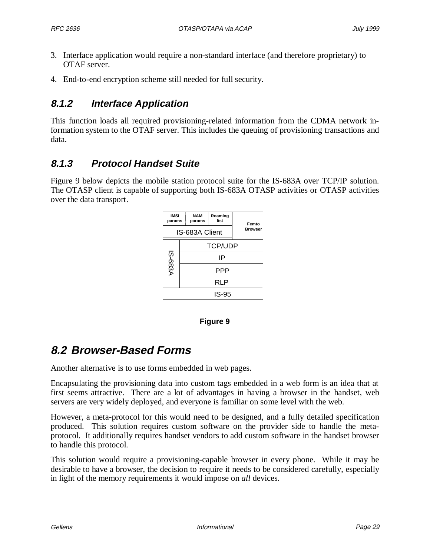- 3. Interface application would require a non-standard interface (and therefore proprietary) to OTAF server.
- 4. End-to-end encryption scheme still needed for full security.

### **8.1.2 Interface Application**

This function loads all required provisioning-related information from the CDMA network information system to the OTAF server. This includes the queuing of provisioning transactions and data.

### **8.1.3 Protocol Handset Suite**

Figure 9 below depicts the mobile station protocol suite for the IS-683A over TCP/IP solution. The OTASP client is capable of supporting both IS-683A OTASP activities or OTASP activities over the data transport.

| <b>IMSI</b><br>params |    | <b>NAM</b><br>params | Roaming<br>list |  | Femto          |
|-----------------------|----|----------------------|-----------------|--|----------------|
|                       |    | IS-683A Client       |                 |  | <b>Browser</b> |
|                       |    |                      | <b>TCP/UDP</b>  |  |                |
| <b>IS-683A</b>        | IP |                      |                 |  |                |
|                       |    |                      | PPP             |  |                |
|                       |    |                      | RLP             |  |                |
| IS-95                 |    |                      |                 |  |                |

#### **Figure 9**

### **8.2 Browser-Based Forms**

Another alternative is to use forms embedded in web pages.

Encapsulating the provisioning data into custom tags embedded in a web form is an idea that at first seems attractive. There are a lot of advantages in having a browser in the handset, web servers are very widely deployed, and everyone is familiar on some level with the web.

However, a meta-protocol for this would need to be designed, and a fully detailed specification produced. This solution requires custom software on the provider side to handle the metaprotocol. It additionally requires handset vendors to add custom software in the handset browser to handle this protocol.

This solution would require a provisioning-capable browser in every phone. While it may be desirable to have a browser, the decision to require it needs to be considered carefully, especially in light of the memory requirements it would impose on *all* devices.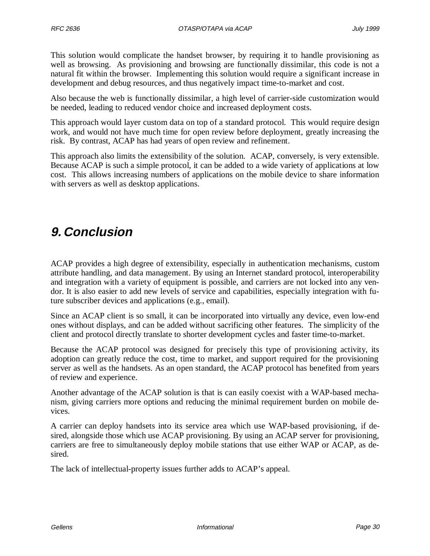This solution would complicate the handset browser, by requiring it to handle provisioning as well as browsing. As provisioning and browsing are functionally dissimilar, this code is not a natural fit within the browser. Implementing this solution would require a significant increase in development and debug resources, and thus negatively impact time-to-market and cost.

Also because the web is functionally dissimilar, a high level of carrier-side customization would be needed, leading to reduced vendor choice and increased deployment costs.

This approach would layer custom data on top of a standard protocol. This would require design work, and would not have much time for open review before deployment, greatly increasing the risk. By contrast, ACAP has had years of open review and refinement.

This approach also limits the extensibility of the solution. ACAP, conversely, is very extensible. Because ACAP is such a simple protocol, it can be added to a wide variety of applications at low cost. This allows increasing numbers of applications on the mobile device to share information with servers as well as desktop applications.

# **9. Conclusion**

ACAP provides a high degree of extensibility, especially in authentication mechanisms, custom attribute handling, and data management. By using an Internet standard protocol, interoperability and integration with a variety of equipment is possible, and carriers are not locked into any vendor. It is also easier to add new levels of service and capabilities, especially integration with future subscriber devices and applications (e.g., email).

Since an ACAP client is so small, it can be incorporated into virtually any device, even low-end ones without displays, and can be added without sacrificing other features. The simplicity of the client and protocol directly translate to shorter development cycles and faster time-to-market.

Because the ACAP protocol was designed for precisely this type of provisioning activity, its adoption can greatly reduce the cost, time to market, and support required for the provisioning server as well as the handsets. As an open standard, the ACAP protocol has benefited from years of review and experience.

Another advantage of the ACAP solution is that is can easily coexist with a WAP-based mechanism, giving carriers more options and reducing the minimal requirement burden on mobile devices.

A carrier can deploy handsets into its service area which use WAP-based provisioning, if desired, alongside those which use ACAP provisioning. By using an ACAP server for provisioning, carriers are free to simultaneously deploy mobile stations that use either WAP or ACAP, as desired.

The lack of intellectual-property issues further adds to ACAP's appeal.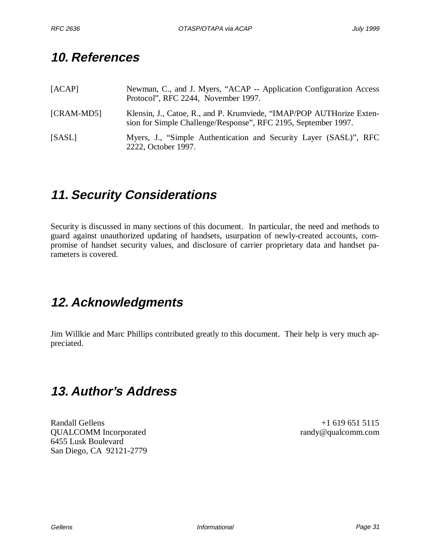# **10. References**

| [ACAP]       | Newman, C., and J. Myers, "ACAP -- Application Configuration Access<br>Protocol", RFC 2244, November 1997.                             |
|--------------|----------------------------------------------------------------------------------------------------------------------------------------|
| $[CRAM-MD5]$ | Klensin, J., Catoe, R., and P. Krumviede, "IMAP/POP AUTHorize Exten-<br>sion for Simple Challenge/Response", RFC 2195, September 1997. |
| [SASL]       | Myers, J., "Simple Authentication and Security Layer (SASL)", RFC<br>2222, October 1997.                                               |

# **11. Security Considerations**

Security is discussed in many sections of this document. In particular, the need and methods to guard against unauthorized updating of handsets, usurpation of newly-created accounts, compromise of handset security values, and disclosure of carrier proprietary data and handset parameters is covered.

# **12. Acknowledgments**

Jim Willkie and Marc Phillips contributed greatly to this document. Their help is very much appreciated.

# **13. Author's Address**

Randall Gellens +1 619 651 5115 QUALCOMM Incorporated randy@qualcomm.com 6455 Lusk Boulevard San Diego, CA 92121-2779